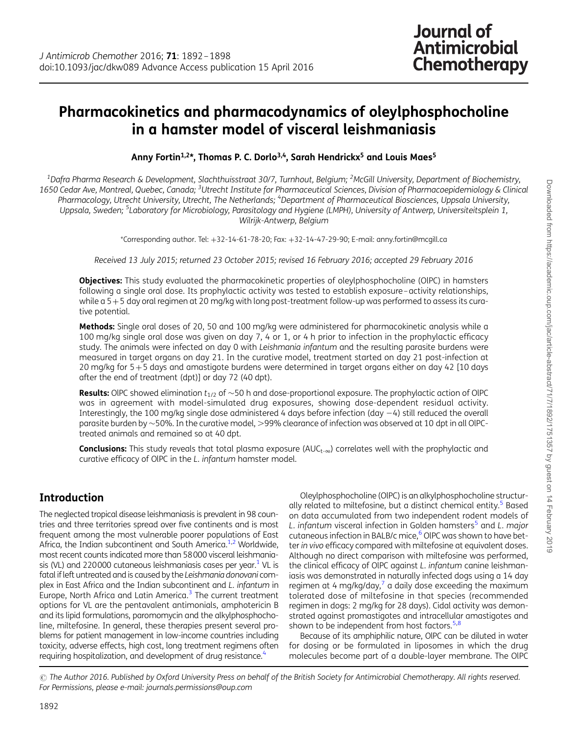# Pharmacokinetics and pharmacodynamics of oleylphosphocholine in a hamster model of visceral leishmaniasis

Anny Fortin<sup>1,2\*</sup>, Thomas P. C. Dorlo<sup>3,4</sup>, Sarah Hendrickx<sup>5</sup> and Louis Maes<sup>5</sup>

 $^{\rm 1}$ Dafra Pharma Research & Development, Slachthuisstraat 30/7, Turnhout, Belgium;  $^{\rm 2}$ McGill University, Department of Biochemistry, 1650 Cedar Ave, Montreal, Quebec, Canada; <sup>3</sup>Utrecht Institute for Pharmaceutical Sciences, Division of Pharmacoepidemiology & Clinical Pharmacology, Utrecht University, Utrecht, The Netherlands; <sup>4</sup>Department of Pharmaceutical Biosciences, Uppsala University, Uppsala, Sweden; <sup>5</sup>Laboratory for Microbiology, Parasitology and Hygiene (LMPH), University of Antwerp, Universiteitsplein 1, Wilrijk-Antwerp, Belgium

\*Corresponding author. Tel: +32-14-61-78-20; Fax: +32-14-47-29-90; E-mail: anny.fortin@mcgill.ca

Received 13 July 2015; returned 23 October 2015; revised 16 February 2016; accepted 29 February 2016

**Objectives:** This study evaluated the pharmacokinetic properties of oleylphosphocholine (OIPC) in hamsters following a single oral dose. Its prophylactic activity was tested to establish exposure–activity relationships, while a 5+5 day oral regimen at 20 mg/kg with long post-treatment follow-up was performed to assess its curative potential.

Methods: Single oral doses of 20, 50 and 100 mg/kg were administered for pharmacokinetic analysis while a 100 mg/kg single oral dose was given on day 7, 4 or 1, or 4 h prior to infection in the prophylactic efficacy study. The animals were infected on day 0 with Leishmania infantum and the resulting parasite burdens were measured in target organs on day 21. In the curative model, treatment started on day 21 post-infection at 20 mg/kg for 5+5 days and amastigote burdens were determined in target organs either on day 42 [10 days after the end of treatment (dpt)] or day 72 (40 dpt).

**Results:** OIPC showed elimination  $t_{1/2}$  of  $\sim$ 50 h and dose-proportional exposure. The prophylactic action of OIPC was in agreement with model-simulated drug exposures, showing dose-dependent residual activity. Interestingly, the 100 mg/kg single dose administered 4 days before infection (day  $-4$ ) still reduced the overall parasite burden by  $\sim$  50%. In the curative model,  $>$  99% clearance of infection was observed at 10 dpt in all OIPCtreated animals and remained so at 40 dpt.

**Conclusions:** This study reveals that total plasma exposure  $(AUC_{t-\infty})$  correlates well with the prophylactic and curative efficacy of OlPC in the L. infantum hamster model.

## Introduction

The neglected tropical disease leishmaniasis is prevalent in 98 countries and three territories spread over five continents and is most frequent among the most vulnerable poorer populations of East Africa, the Indian subcontinent and South America.<sup>1,[2](#page-6-0)</sup> Worldwide, most recent counts indicated more than 58000 visceral leishmaniasis (VL) and 220000 cutaneous leishmaniasis cases per year. $1$  VL is fatal if left untreated and is caused by the Leishmania donovani complex in East Africa and the Indian subcontinent and L. infantum in Europe, North Africa and Latin America. $3$  The current treatment options for VL are the pentavalent antimonials, amphotericin B and its lipid formulations, paromomycin and the alkylphosphocholine, miltefosine. In general, these therapies present several problems for patient management in low-income countries including toxicity, adverse effects, high cost, long treatment regimens often requiring hospitalization, and development of drug resistance.<sup>4</sup>

Oleylphosphocholine (OlPC) is an alkylphosphocholine structurally related to miltefosine, but a distinct chemical entity.<sup>5</sup> Based on data accumulated from two independent rodent models of L. infantum visceral infection in Golden hamsters<sup>[5](#page-6-0)</sup> and L. major cutaneous infection in BALB/c mice, $^6$  OIPC was shown to have better in vivo efficacy compared with miltefosine at equivalent doses. Although no direct comparison with miltefosine was performed, the clinical efficacy of OlPC against L. infantum canine leishmaniasis was demonstrated in naturally infected dogs using a 14 day regimen at 4 mg/kg/day, $^7$  a daily dose exceeding the maximum tolerated dose of miltefosine in that species (recommended regimen in dogs: 2 mg/kg for 28 days). Cidal activity was demonstrated against promastigotes and intracellular amastigotes and shown to be independent from host factors.<sup>[5,8](#page-6-0)</sup>

Because of its amphiphilic nature, OlPC can be diluted in water for dosing or be formulated in liposomes in which the drug molecules become part of a double-layer membrane. The OlPC

© The Author 2016. Published by Oxford University Press on behalf of the British Society for Antimicrobial Chemotherapy. All rights reserved. For Permissions, please e-mail: journals.permissions@oup.com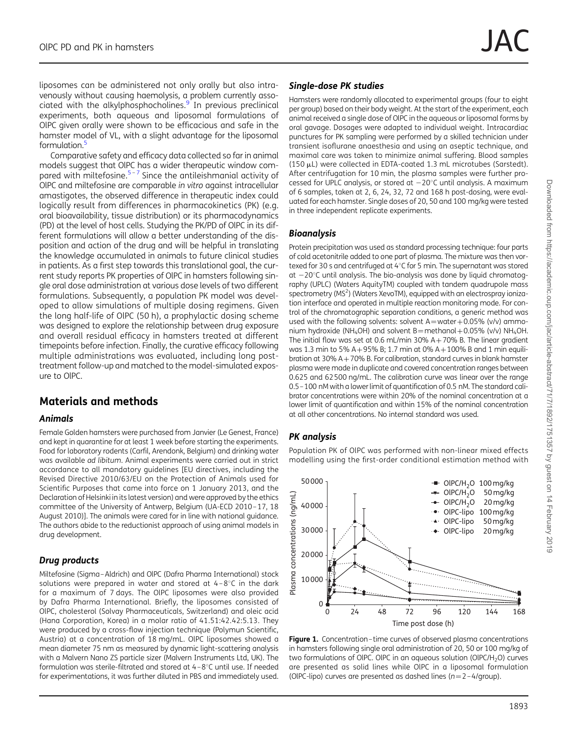<span id="page-1-0"></span>liposomes can be administered not only orally but also intravenously without causing haemolysis, a problem currently asso-ciated with the alkylphosphocholines.<sup>[9](#page-6-0)</sup> In previous preclinical experiments, both aqueous and liposomal formulations of OlPC given orally were shown to be efficacious and safe in the hamster model of VL, with a slight advantage for the liposomal formulation.<sup>5</sup>

Comparative safety and efficacy data collected so far in animal models suggest that OlPC has a wider therapeutic window com-pared with miltefosine.<sup>[5](#page-6-0)-[7](#page-6-0)</sup> Since the antileishmanial activity of OlPC and miltefosine are comparable in vitro against intracellular amastigotes, the observed difference in therapeutic index could logically result from differences in pharmacokinetics (PK) (e.g. oral bioavailability, tissue distribution) or its pharmacodynamics (PD) at the level of host cells. Studying the PK/PD of OlPC in its different formulations will allow a better understanding of the disposition and action of the drug and will be helpful in translating the knowledge accumulated in animals to future clinical studies in patients. As a first step towards this translational goal, the current study reports PK properties of OlPC in hamsters following single oral dose administration at various dose levels of two different formulations. Subsequently, a population PK model was developed to allow simulations of multiple dosing regimens. Given the long half-life of OlPC (50 h), a prophylactic dosing scheme was designed to explore the relationship between drug exposure and overall residual efficacy in hamsters treated at different timepoints before infection. Finally, the curative efficacy following multiple administrations was evaluated, including long posttreatment follow-up and matched to the model-simulated exposure to OlPC.

# Materials and methods

#### Animals

Female Golden hamsters were purchased from Janvier (Le Genest, France) and kept in quarantine for at least 1 week before starting the experiments. Food for laboratory rodents (Carfil, Arendonk, Belgium) and drinking water was available ad libitum. Animal experiments were carried out in strict accordance to all mandatory guidelines [EU directives, including the Revised Directive 2010/63/EU on the Protection of Animals used for Scientific Purposes that came into force on 1 January 2013, and the Declaration of Helsinki in its latest version) and were approved by the ethics committee of the University of Antwerp, Belgium (UA-ECD 2010–17, 18 August 2010)]. The animals were cared for in line with national guidance. The authors abide to the reductionist approach of using animal models in drug development.

### Drug products

Miltefosine (Sigma–Aldrich) and OlPC (Dafra Pharma International) stock solutions were prepared in water and stored at  $4-8^{\circ}$ C in the dark for a maximum of 7 days. The OlPC liposomes were also provided by Dafra Pharma International. Briefly, the liposomes consisted of OlPC, cholesterol (Solvay Pharmaceuticals, Switzerland) and oleic acid (Hana Corporation, Korea) in a molar ratio of 41.51:42.42:5.13. They were produced by a cross-flow injection technique (Polymun Scientific, Austria) at a concentration of 18 mg/mL. OlPC liposomes showed a mean diameter 75 nm as measured by dynamic light-scattering analysis with a Malvern Nano ZS particle sizer (Malvern Instruments Ltd, UK). The formulation was sterile-filtrated and stored at  $4-8^{\circ}$ C until use. If needed for experimentations, it was further diluted in PBS and immediately used.

### Single-dose PK studies

Hamsters were randomly allocated to experimental groups (four to eight per group) based on their body weight. At the start of the experiment, each animal received a single dose of OlPC in the aqueous or liposomal forms by oral gavage. Dosages were adapted to individual weight. Intracardiac punctures for PK sampling were performed by a skilled technician under transient isoflurane anaesthesia and using an aseptic technique, and maximal care was taken to minimize animal suffering. Blood samples (150 mL) were collected in EDTA-coated 1.3 mL microtubes (Sarstedt). After centrifugation for 10 min, the plasma samples were further processed for UPLC analysis, or stored at  $-20^{\circ}$ C until analysis. A maximum of 6 samples, taken at 2, 6, 24, 32, 72 and 168 h post-dosing, were evaluated for each hamster. Single doses of 20, 50 and 100 mg/kg were tested in three independent replicate experiments.

### **Bioanalysis**

Protein precipitation was used as standard processing technique: four parts of cold acetonitrile added to one part of plasma. The mixture was then vortexed for 30 s and centrifuged at  $4^{\circ}$ C for 5 min. The supernatant was stored at  $-20^{\circ}$ C until analysis. The bio-analysis was done by liquid chromatography (UPLC) (Waters AquityTM) coupled with tandem quadrupole mass spectrometry (MS<sup>2</sup>) (Waters XevoTM), equipped with an electrospray ionization interface and operated in multiple reaction monitoring mode. For control of the chromatographic separation conditions, a generic method was used with the following solvents: solvent  $A = water + 0.05\%$  (v/v) ammonium hydroxide (NH<sub>4</sub>OH) and solvent B=methanol+0.05% (v/v) NH<sub>4</sub>OH. The initial flow was set at 0.6 mL/min 30%  $A + 70%$  B. The linear gradient was 1.3 min to 5% A+95% B; 1.7 min at 0% A+100% B and 1 min equilibration at 30%  $A + 70%$  B. For calibration, standard curves in blank hamster plasma were made in duplicate and covered concentration ranges between 0.625 and 62500 ng/mL. The calibration curve was linear over the range 0.5–100 nM with a lower limit of quantification of 0.5 nM. The standard calibrator concentrations were within 20% of the nominal concentration at a lower limit of quantification and within 15% of the nominal concentration at all other concentrations. No internal standard was used.

### PK analysis

Population PK of OlPC was performed with non-linear mixed effects modelling using the first-order conditional estimation method with



Figure 1. Concentration-time curves of observed plasma concentrations in hamsters following single oral administration of 20, 50 or 100 mg/kg of two formulations of OIPC. OIPC in an aqueous solution (OIPC/H<sub>2</sub>O) curves are presented as solid lines while OlPC in a liposomal formulation (OIPC-lipo) curves are presented as dashed lines ( $n=2-4$ /group).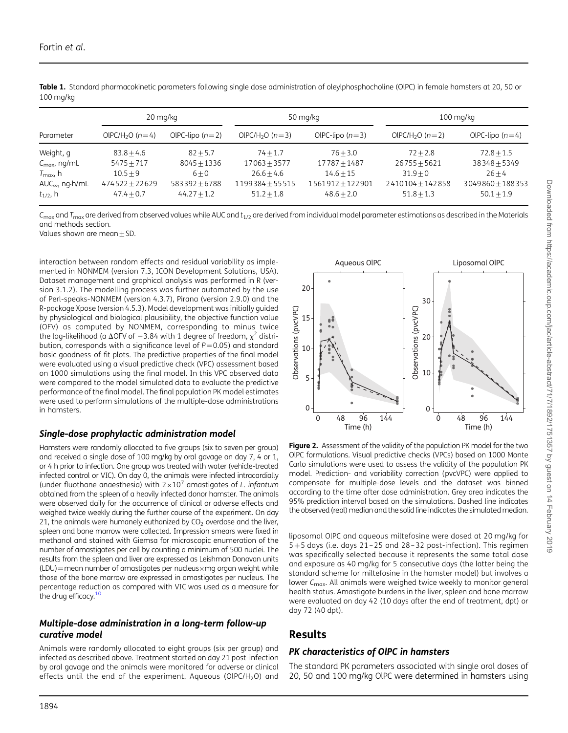|                                  | 20 mg/kg                      |                   |                               | 50 mg/kg          | $100 \,\mathrm{mq/kg}$        |                    |  |
|----------------------------------|-------------------------------|-------------------|-------------------------------|-------------------|-------------------------------|--------------------|--|
| Parameter                        | OIPC/H <sub>2</sub> O $(n=4)$ | OIPC-lipo $(n=2)$ | OIPC/H <sub>2</sub> O $(n=3)$ | OIPC-lipo $(n=3)$ | OIPC/H <sub>2</sub> O $(n=2)$ | OIPC-lipo $(n=4)$  |  |
| Weight, g                        | $83.8 + 4.6$                  | $82 + 5.7$        | $74 + 1.7$                    | $76 + 3.0$        | $72 + 2.8$                    | $72.8 + 1.5$       |  |
| $C_{\text{max}}$ , ng/mL         | $5475 + 717$                  | $8045 + 1336$     | $17063 + 3577$                | $17787 + 1487$    | $26755 + 5621$                | $38348 + 5349$     |  |
| $T_{\text{max}}$ , h             | $10.5 + 9$                    | $6 + 0$           | $26.6 + 4.6$                  | $14.6 + 15$       | $31.9 + 0$                    | $26 + 4$           |  |
| $AUC_{\infty}$ , ng $\cdot$ h/mL | $474522 + 22629$              | $583392 + 6788$   | $1199384 + 55515$             | 1561912+122901    | 2410104+142858                | $3049860 + 188353$ |  |
| $t_{1/2}$ , h                    | $47.4 + 0.7$                  | $44.27 + 1.2$     | $51.2 + 1.8$                  | $48.6 + 2.0$      | $51.8 + 1.3$                  | $50.1 + 1.9$       |  |

<span id="page-2-0"></span>Table 1. Standard pharmacokinetic parameters following single dose administration of oleylphosphocholine (OIPC) in female hamsters at 20, 50 or 100 mg/kg

 $C_{\text{max}}$  and  $T_{\text{max}}$  are derived from observed values while AUC and  $t_{1/2}$  are derived from individual model parameter estimations as described in the Materials and methods section.

Values shown are mean+SD.

interaction between random effects and residual variability as implemented in NONMEM (version 7.3, ICON Development Solutions, USA). Dataset management and graphical analysis was performed in R (version 3.1.2). The modelling process was further automated by the use of Perl-speaks-NONMEM (version 4.3.7), Pirana (version 2.9.0) and the R-package Xpose (version 4.5.3). Model development was initially guided by physiological and biological plausibility, the objective function value (OFV) as computed by NONMEM, corresponding to minus twice the log-likelihood (a  $\Delta$ OFV of -3.84 with 1 degree of freedom,  $\chi^2$  distribution, corresponds with a significance level of  $P=0.05$ ) and standard basic goodness-of-fit plots. The predictive properties of the final model were evaluated using a visual predictive check (VPC) assessment based on 1000 simulations using the final model. In this VPC observed data were compared to the model simulated data to evaluate the predictive performance of the final model. The final population PK model estimates were used to perform simulations of the multiple-dose administrations in hamsters.

### Single-dose prophylactic administration model

Hamsters were randomly allocated to five groups (six to seven per group) and received a single dose of 100 mg/kg by oral gavage on day 7, 4 or 1, or 4 h prior to infection. One group was treated with water (vehicle-treated infected control or VIC). On day 0, the animals were infected intracardially (under fluothane anaesthesia) with  $2\times10^7$  amastigotes of L. infantum obtained from the spleen of a heavily infected donor hamster. The animals were observed daily for the occurrence of clinical or adverse effects and weighed twice weekly during the further course of the experiment. On day 21, the animals were humanely euthanized by  $CO<sub>2</sub>$  overdose and the liver, spleen and bone marrow were collected. Impression smears were fixed in methanol and stained with Giemsa for microscopic enumeration of the number of amastigotes per cell by counting a minimum of 500 nuclei. The results from the spleen and liver are expressed as Leishman Donovan units  $(LDU)$  = mean number of amastigotes per nucleus × mg organ weight while those of the bone marrow are expressed in amastigotes per nucleus. The percentage reduction as compared with VIC was used as a measure for the drug efficacy. $1$ 

#### Multiple-dose administration in a long-term follow-up curative model

Animals were randomly allocated to eight groups (six per group) and infected as described above. Treatment started on day 21 post-infection by oral gavage and the animals were monitored for adverse or clinical effects until the end of the experiment. Aqueous (OIPC/H<sub>2</sub>O) and



Figure 2. Assessment of the validity of the population PK model for the two OlPC formulations. Visual predictive checks (VPCs) based on 1000 Monte Carlo simulations were used to assess the validity of the population PK model. Prediction- and variability correction (pvcVPC) were applied to compensate for multiple-dose levels and the dataset was binned according to the time after dose administration. Grey area indicates the 95% prediction interval based on the simulations. Dashed line indicates the observed (real) median and the solid line indicates the simulated median.

liposomal OlPC and aqueous miltefosine were dosed at 20 mg/kg for 5+5 days (i.e. days 21 – 25 and 28– 32 post-infection). This regimen was specifically selected because it represents the same total dose and exposure as 40 mg/kg for 5 consecutive days (the latter being the standard scheme for miltefosine in the hamster model) but involves a lower  $C_{\text{max}}$ . All animals were weighed twice weekly to monitor general health status. Amastigote burdens in the liver, spleen and bone marrow were evaluated on day 42 (10 days after the end of treatment, dpt) or day 72 (40 dpt).

# Results

### PK characteristics of OlPC in hamsters

The standard PK parameters associated with single oral doses of 20, 50 and 100 mg/kg OlPC were determined in hamsters using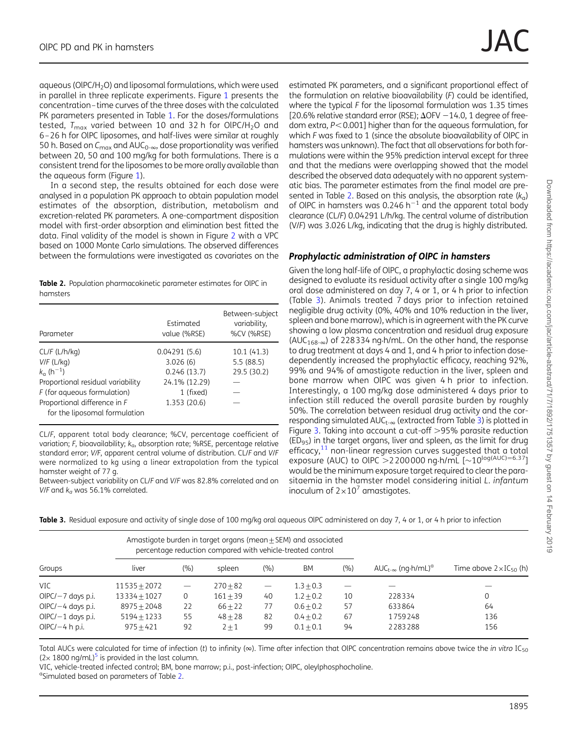<span id="page-3-0"></span>aqueous ( $O$ IPC/H<sub>2</sub>O) and liposomal formulations, which were used in parallel in three replicate experiments. Figure [1](#page-1-0) presents the concentration–time curves of the three doses with the calculated PK parameters presented in Table [1.](#page-2-0) For the doses/formulations tested,  $T_{\text{max}}$  varied between 10 and 32 h for OIPC/H<sub>2</sub>O and 6–26 h for OlPC liposomes, and half-lives were similar at roughly 50 h. Based on  $C_{\text{max}}$  and AU $C_{0-\infty}$ , dose proportionality was verified between 20, 50 and 100 mg/kg for both formulations. There is a consistent trend for the liposomes to be more orally available than the aqueous form (Figure [1](#page-1-0)).

In a second step, the results obtained for each dose were analysed in a population PK approach to obtain population model estimates of the absorption, distribution, metabolism and excretion-related PK parameters. A one-compartment disposition model with first-order absorption and elimination best fitted the data. Final validity of the model is shown in Figure [2](#page-2-0) with a VPC based on 1000 Monte Carlo simulations. The observed differences between the formulations were investigated as covariates on the

Table 2. Population pharmacokinetic parameter estimates for OIPC in hamsters

| Parameter                                                     | Estimated<br>value (%RSE) | Between-subject<br>variability,<br>%CV (%RSE) |
|---------------------------------------------------------------|---------------------------|-----------------------------------------------|
| CL/F (L/h/kg)                                                 | 0.04291(5.6)              | 10.1(41.3)                                    |
| $V/F$ (L/kg)                                                  | 3.026(6)                  | 5.5(88.5)                                     |
| $k_a$ (h <sup>-1</sup> )                                      | 0.246(13.7)               | 29.5 (30.2)                                   |
| Proportional residual variability                             | 24.1% (12.29)             |                                               |
| F (for aqueous formulation)                                   | 1 (fixed)                 |                                               |
| Proportional difference in F<br>for the liposomal formulation | 1.353 (20.6)              |                                               |
|                                                               |                           |                                               |

CL/F, apparent total body clearance; %CV, percentage coefficient of variation; F, bioavailability;  $k_a$ , absorption rate; %RSE, percentage relative standard error; V/F, apparent central volume of distribution. CL/F and V/F were normalized to kg using a linear extrapolation from the typical hamster weight of 77 g.

Between-subject variability on CL/F and V/F was 82.8% correlated and on V/F and  $k_a$  was 56.1% correlated.

estimated PK parameters, and a significant proportional effect of the formulation on relative bioavailability (F) could be identified, where the typical F for the liposomal formulation was 1.35 times [20.6% relative standard error (RSE);  $\Delta$ OFV -14.0, 1 degree of freedom extra,  $P < 0.001$ ] higher than for the aqueous formulation, for which F was fixed to 1 (since the absolute bioavailability of OIPC in hamsters was unknown). The fact that all observations for both formulations were within the 95% prediction interval except for three and that the medians were overlapping showed that the model described the observed data adequately with no apparent systematic bias. The parameter estimates from the final model are presented in Table 2. Based on this analysis, the absorption rate  $(k<sub>a</sub>)$ of OIPC in hamsters was 0.246  $h^{-1}$  and the apparent total body clearance (CL/F) 0.04291 L/h/kg. The central volume of distribution (V/F) was 3.026 L/kg, indicating that the drug is highly distributed.

#### Prophylactic administration of OlPC in hamsters

Given the long half-life of OlPC, a prophylactic dosing scheme was designed to evaluate its residual activity after a single 100 mg/kg oral dose administered on day 7, 4 or 1, or 4 h prior to infection (Table 3). Animals treated 7 days prior to infection retained negligible drug activity (0%, 40% and 10% reduction in the liver, spleen and bone marrow), which is in agreement with the PK curve showing a low plasma concentration and residual drug exposure (AUC<sub>168- $\infty$ </sub>) of 228334 ng $\cdot$ h/mL. On the other hand, the response to drug treatment at days 4 and 1, and 4 h prior to infection dosedependently increased the prophylactic efficacy, reaching 92%, 99% and 94% of amastigote reduction in the liver, spleen and bone marrow when OlPC was given 4 h prior to infection. Interestingly, a 100 mg/kg dose administered 4 days prior to infection still reduced the overall parasite burden by roughly 50%. The correlation between residual drug activity and the corresponding simulated  $AUC_{t-\infty}$  (extracted from Table 3) is plotted in Figure [3.](#page-4-0) Taking into account a cut-off  $>95%$  parasite reduction  $(ED_{95})$  in the target organs, liver and spleen, as the limit for drug efficacy, $11$  non-linear regression curves suggested that a total exposure (AUC) to OIPC > 2200000 ng h/mL  $[-10^{\log(AUC)=6.37}]$ would be the minimum exposure target required to clear the parasitaemia in the hamster model considering initial L. infantum inoculum of  $2\times10^7$  amastigotes.

|  |  |  | Table 3. Residual exposure and activity of single dose of 100 mg/kg oral aqueous OIPC administered on day 7, 4 or 1, or 4 h prior to infection |  |
|--|--|--|------------------------------------------------------------------------------------------------------------------------------------------------|--|
|--|--|--|------------------------------------------------------------------------------------------------------------------------------------------------|--|

|                     | Amastigote burden in target organs (mean $\pm$ SEM) and associated<br>percentage reduction compared with vehicle-treated control |                   |            |                          |             |     |                                                  |                                   |
|---------------------|----------------------------------------------------------------------------------------------------------------------------------|-------------------|------------|--------------------------|-------------|-----|--------------------------------------------------|-----------------------------------|
| Groups              | liver                                                                                                                            | (9/0)             | spleen     | (%)                      | <b>BM</b>   | (%) | $AUC_{t-\infty}$ (ng $\cdot h/mL$ ) <sup>a</sup> | Time above $2 \times IC_{50}$ (h) |
| VIC                 | $11535 + 2072$                                                                                                                   | $\qquad \qquad -$ | $270 + 82$ | $\overline{\phantom{m}}$ | $1.3 + 0.3$ |     |                                                  |                                   |
| $OIPC/-7$ days p.i. | $13334 + 1027$                                                                                                                   | 0                 | $161 + 39$ | 40                       | $1.2 + 0.2$ | 10  | 228334                                           | $\mathbf 0$                       |
| $OIPC/-4$ days p.i. | $8975 + 2048$                                                                                                                    | 22                | $66 + 22$  | 77                       | $0.6 + 0.2$ | 57  | 633864                                           | 64                                |
| $OIPC/-1$ days p.i. | $5194 + 1233$                                                                                                                    | 55                | $48 + 28$  | 82                       | $0.4 + 0.2$ | 67  | 1759248                                          | 136                               |
| OIPC/ $-4$ h p.i.   | $975 + 421$                                                                                                                      | 92                | $2 + 1$    | 99                       | $0.1 + 0.1$ | 94  | 2283288                                          | 156                               |

Total AUCs were calculated for time of infection (t) to infinity ( $\infty$ ). Time after infection that OIPC concentration remains above twice the in vitro IC<sub>50</sub>  $(2 \times 1800 \text{ ng/mL})^5$  is provided in the last column.

VIC, vehicle-treated infected control; BM, bone marrow; p.i., post-infection; OlPC, oleylphosphocholine.

<sup>a</sup>Simulated based on parameters of Table 2.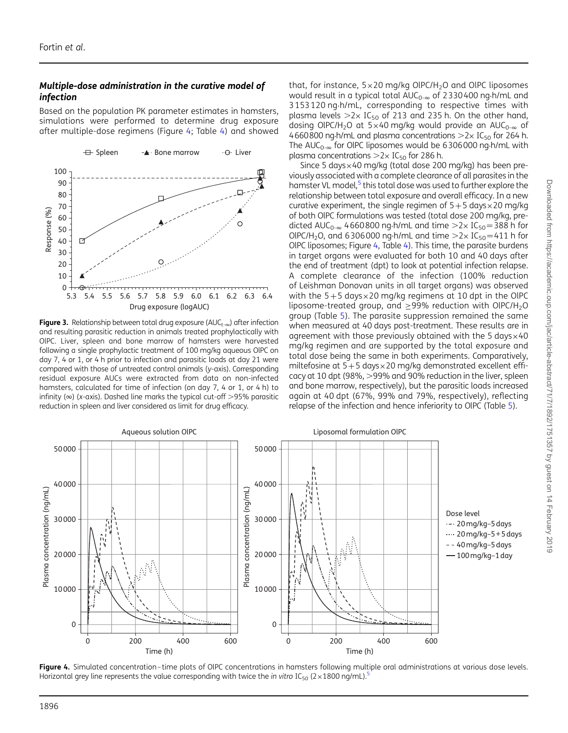#### <span id="page-4-0"></span>Multiple-dose administration in the curative model of infection

Based on the population PK parameter estimates in hamsters, simulations were performed to determine drug exposure after multiple-dose regimens (Figure 4; Table [4\)](#page-5-0) and showed



**Figure 3.** Relationship between total drug exposure ( $AUC_{t-\infty}$ ) after infection and resulting parasitic reduction in animals treated prophylactically with OlPC. Liver, spleen and bone marrow of hamsters were harvested following a single prophylactic treatment of 100 mg/kg aqueous OlPC on day 7, 4 or 1, or 4 h prior to infection and parasitic loads at day 21 were compared with those of untreated control animals (y-axis). Corresponding residual exposure AUCs were extracted from data on non-infected hamsters, calculated for time of infection (on day 7, 4 or 1, or 4 h) to infinity ( $\infty$ ) (x-axis). Dashed line marks the typical cut-off >95% parasitic reduction in spleen and liver considered as limit for drug efficacy.

that, for instance,  $5 \times 20$  mg/kg OlPC/H<sub>2</sub>O and OlPC liposomes would result in a typical total  $AUC_{0-\infty}$  of 2330400 ng h/mL and 3153120 ng.h/mL, corresponding to respective times with plasma levels  $>2\times$  IC<sub>50</sub> of 213 and 235 h. On the other hand, dosing OIPC/H<sub>2</sub>O at 5×40 mg/kg would provide an AUC<sub>0- $\infty$ </sub> of 4660800 ng $\cdot$ h/mL and plasma concentrations  $>$ 2 $\times$  IC<sub>50</sub> for 264 h. The AUC<sub>0- $\infty$ </sub> for OIPC liposomes would be 6306000 ng.h/mL with plasma concentrations  $>2\times$  IC<sub>50</sub> for 286 h.

Since 5 days×40 mg/kg (total dose 200 mg/kg) has been previously associated with a complete clearance of all parasites in the hamster VL model,<sup>[5](#page-6-0)</sup> this total dose was used to further explore the relationship between total exposure and overall efficacy. In a new curative experiment, the single regimen of  $5+5$  days $\times$ 20 mg/kg of both OlPC formulations was tested (total dose 200 mg/kg, predicted AUC<sub>0- $\infty$ </sub> 4660800 ng $\cdot$ h/mL and time  $>2\times$  IC<sub>50</sub> = 388 h for OIPC/H<sub>2</sub>O, and 6306000 ng $\cdot$ h/mL and time  $>2\times$  IC<sub>50</sub> = 411 h for OlPC liposomes; Figure 4, Table [4](#page-5-0)). This time, the parasite burdens in target organs were evaluated for both 10 and 40 days after the end of treatment (dpt) to look at potential infection relapse. A complete clearance of the infection (100% reduction of Leishman Donovan units in all target organs) was observed with the  $5+5$  days $\times$ 20 mg/kg regimens at 10 dpt in the OIPC liposome-treated group, and  $\geq$ 99% reduction with OlPC/H<sub>2</sub>O group (Table [5](#page-5-0)). The parasite suppression remained the same when measured at 40 days post-treatment. These results are in agreement with those previously obtained with the 5 days×40 mg/kg regimen and are supported by the total exposure and total dose being the same in both experiments. Comparatively, miltefosine at  $5+5$  days $\times$ 20 mg/kg demonstrated excellent efficacy at 10 dpt (98%,  $>$ 99% and 90% reduction in the liver, spleen and bone marrow, respectively), but the parasitic loads increased again at 40 dpt (67%, 99% and 79%, respectively), reflecting relapse of the infection and hence inferiority to OlPC (Table [5](#page-5-0)).



Figure 4. Simulated concentration-time plots of OIPC concentrations in hamsters following multiple oral administrations at various dose levels. Horizontal grey line represents the value corresponding with twice the in vitro IC<sub>[5](#page-6-0)0</sub> ( $2\times1800$  ng/mL).<sup>5</sup>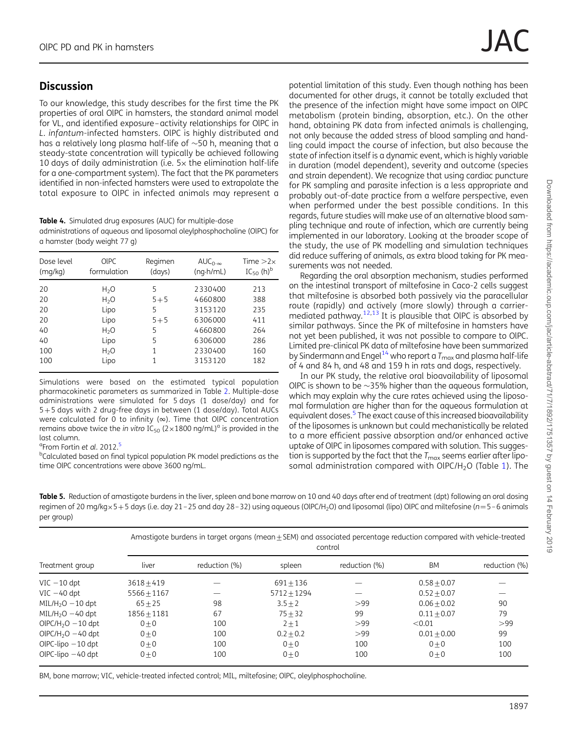# <span id="page-5-0"></span>**Discussion**

To our knowledge, this study describes for the first time the PK properties of oral OlPC in hamsters, the standard animal model for VL, and identified exposure–activity relationships for OlPC in L. infantum-infected hamsters. OlPC is highly distributed and has a relatively long plasma half-life of  $\sim$ 50 h, meaning that a steady-state concentration will typically be achieved following 10 days of daily administration (i.e.  $5\times$  the elimination half-life for a one-compartment system). The fact that the PK parameters identified in non-infected hamsters were used to extrapolate the total exposure to OlPC in infected animals may represent a

Table 4. Simulated drug exposures (AUC) for multiple-dose administrations of aqueous and liposomal oleylphosphocholine (OlPC) for a hamster (body weight 77 g)

| Dose level<br>(mq/kg) | <b>OIPC</b><br>formulation | Regimen<br>(days) | $AUC_{0-\infty}$<br>$(nq \cdot h/mL)$ | Time $>2\times$<br>$IC_{50}$ (h) <sup>b</sup> |
|-----------------------|----------------------------|-------------------|---------------------------------------|-----------------------------------------------|
| 20                    | $H_2O$                     | 5                 | 2330400                               | 213                                           |
| 20                    | $H_2O$                     | $5 + 5$           | 4660800                               | 388                                           |
| 20                    | Lipo                       | 5                 | 3153120                               | 235                                           |
| 20                    | Lipo                       | $5 + 5$           | 6306000                               | 411                                           |
| 40                    | $H_2O$                     | 5                 | 4660800                               | 264                                           |
| 40                    | Lipo                       | 5                 | 6306000                               | 286                                           |
| 100                   | H <sub>2</sub> O           | 1                 | 2330400                               | 160                                           |
| 100                   | Lipo                       | 1                 | 3153120                               | 182                                           |

Simulations were based on the estimated typical population pharmacokinetic parameters as summarized in Table [2](#page-3-0). Multiple-dose administrations were simulated for 5 days (1 dose/day) and for 5+5 days with 2 drug-free days in between (1 dose/day). Total AUCs were calculated for 0 to infinity ( $\infty$ ). Time that OIPC concentration remains above twice the in vitro  $IC_{50}$  (2×1800 ng/mL)<sup>a</sup> is provided in the last column.

<sup>a</sup>From Fortin et al. 2012.<sup>[5](#page-6-0)</sup>

<sup>b</sup>Calculated based on final typical population PK model predictions as the time OlPC concentrations were above 3600 ng/mL.

potential limitation of this study. Even though nothing has been documented for other drugs, it cannot be totally excluded that the presence of the infection might have some impact on OlPC metabolism (protein binding, absorption, etc.). On the other hand, obtaining PK data from infected animals is challenging, not only because the added stress of blood sampling and handling could impact the course of infection, but also because the state of infection itself is a dynamic event, which is highly variable in duration (model dependent), severity and outcome (species and strain dependent). We recognize that using cardiac puncture for PK sampling and parasite infection is a less appropriate and probably out-of-date practice from a welfare perspective, even when performed under the best possible conditions. In this regards, future studies will make use of an alternative blood sampling technique and route of infection, which are currently being implemented in our laboratory. Looking at the broader scope of the study, the use of PK modelling and simulation techniques did reduce suffering of animals, as extra blood taking for PK measurements was not needed.

Regarding the oral absorption mechanism, studies performed on the intestinal transport of miltefosine in Caco-2 cells suggest that miltefosine is absorbed both passively via the paracellular route (rapidly) and actively (more slowly) through a carriermediated pathway.[12,13](#page-6-0) It is plausible that OlPC is absorbed by similar pathways. Since the PK of miltefosine in hamsters have not yet been published, it was not possible to compare to OlPC. Limited pre-clinical PK data of miltefosine have been summarized by Sindermann and Engel<sup>[14](#page-6-0)</sup> who report a  $T_{\text{max}}$  and plasma half-life of 4 and 84 h, and 48 and 159 h in rats and dogs, respectively.

In our PK study, the relative oral bioavailability of liposomal OIPC is shown to be  $\sim$ 35% higher than the aqueous formulation, which may explain why the cure rates achieved using the liposomal formulation are higher than for the aqueous formulation at equivalent doses.<sup>[5](#page-6-0)</sup> The exact cause of this increased bioavailability of the liposomes is unknown but could mechanistically be related to a more efficient passive absorption and/or enhanced active uptake of OlPC in liposomes compared with solution. This suggestion is supported by the fact that the  $T_{\text{max}}$  seems earlier after lipo-somal administration compared with OlPC/H<sub>2</sub>O (Table [1](#page-2-0)). The

Table 5. Reduction of amastigote burdens in the liver, spleen and bone marrow on 10 and 40 days after end of treatment (dpt) following an oral dosing regimen of 20 mg/kg×5+5 days (i.e. day 21-25 and day 28-32) using aqueous (OlPC/H<sub>2</sub>O) and liposomal (lipo) OlPC and miltefosine (n=5-6 animals per group)

|                                 | Amastigote burdens in target organs (mean ± SEM) and associated percentage reduction compared with vehicle-treated<br>control |               |               |               |               |               |  |  |  |
|---------------------------------|-------------------------------------------------------------------------------------------------------------------------------|---------------|---------------|---------------|---------------|---------------|--|--|--|
| Treatment group                 | liver                                                                                                                         | reduction (%) | spleen        | reduction (%) | BM            | reduction (%) |  |  |  |
| $VIC - 10$ dpt                  | $3618 + 419$                                                                                                                  |               | $691 + 136$   |               | $0.58 + 0.07$ |               |  |  |  |
| $VIC - 40$ dpt                  | $5566 + 1167$                                                                                                                 |               | $5712 + 1294$ |               | $0.52 + 0.07$ |               |  |  |  |
| $MIL/H2O - 10$ dpt              | $65 + 25$                                                                                                                     | 98            | $3.5 + 2$     | >99           | $0.06 + 0.02$ | 90            |  |  |  |
| $MIL/H2O - 40$ dpt              | $1856 + 1181$                                                                                                                 | 67            | $75 + 32$     | 99            | $0.11 + 0.07$ | 79            |  |  |  |
| OIPC/H <sub>2</sub> O $-10$ dpt | $0 + 0$                                                                                                                       | 100           | $2 + 1$       | >99           | < 0.01        | >99           |  |  |  |
| $OIPC/H2O - 40$ dpt             | $0 + 0$                                                                                                                       | 100           | $0.2 + 0.2$   | >99           | $0.01 + 0.00$ | 99            |  |  |  |
| OIPC-lipo $-10$ dpt             | $0 + 0$                                                                                                                       | 100           | $0 + 0$       | 100           | $0 + 0$       | 100           |  |  |  |
| OIPC-lipo $-40$ dpt             | $0 + 0$                                                                                                                       | 100           | $0 + 0$       | 100           | $0 + 0$       | 100           |  |  |  |

BM, bone marrow; VIC, vehicle-treated infected control; MIL, miltefosine; OlPC, oleylphosphocholine.